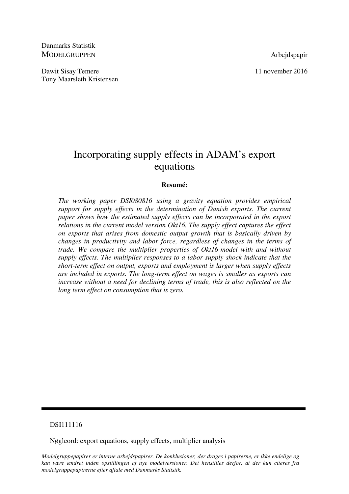Danmarks Statistik MODELGRUPPEN Arbejdspapir

Dawit Sisay Temere 11 november 2016 Tony Maarsleth Kristensen

# Incorporating supply effects in ADAM's export equations

# **Resumé:**

*The working paper DSI080816 using a gravity equation provides empirical support for supply effects in the determination of Danish exports. The current paper shows how the estimated supply effects can be incorporated in the export relations in the current model version Okt16. The supply effect captures the effect on exports that arises from domestic output growth that is basically driven by changes in productivity and labor force, regardless of changes in the terms of trade. We compare the multiplier properties of Okt16-model with and without supply effects. The multiplier responses to a labor supply shock indicate that the short-term effect on output, exports and employment is larger when supply effects are included in exports. The long-term effect on wages is smaller as exports can increase without a need for declining terms of trade, this is also reflected on the long term effect on consumption that is zero.* 

## DSI111116

Nøgleord: export equations, supply effects, multiplier analysis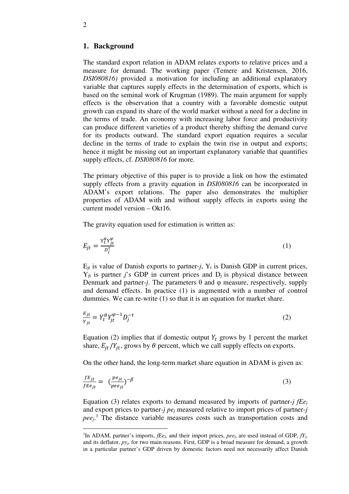## **1. Background**

The standard export relation in ADAM relates exports to relative prices and a measure for demand. The working paper (Temere and Kristensen, 2016, *DSI080816)* provided a motivation for including an additional explanatory variable that captures supply effects in the determination of exports, which is based on the seminal work of Krugman (1989). The main argument for supply effects is the observation that a country with a favorable domestic output growth can expand its share of the world market without a need for a decline in the terms of trade. An economy with increasing labor force and productivity can produce different varieties of a product thereby shifting the demand curve for its products outward. The standard export equation requires a secular decline in the terms of trade to explain the twin rise in output and exports; hence it might be missing out an important explanatory variable that quantifies supply effects, cf. *DSI080816* for more*.* 

The primary objective of this paper is to provide a link on how the estimated supply effects from a gravity equation in *DSI080816* can be incorporated in ADAM's export relations. The paper also demonstrates the multiplier properties of ADAM with and without supply effects in exports using the current model version – Okt16.

The gravity equation used for estimation is written as:

$$
E_{jt} = \frac{Y_t^{\theta} Y_{jt}^{\varphi}}{D_j^{\tau}}
$$
 (1)

 $E_{it}$  is value of Danish exports to partner-*j*,  $Y_t$  is Danish GDP in current prices,  $Y_{it}$  is partner *j*'s GDP in current prices and  $D_i$  is physical distance between Denmark and partner-*j*. The parameters  $\theta$  and  $\phi$  measure, respectively, supply and demand effects. In practice (1) is augmented with a number of control dummies. We can re-write (1) so that it is an equation for market share.

$$
\frac{E_{jt}}{Y_{jt}} = Y_t^{\theta} Y_{jt}^{\varphi - 1} D_j^{-\tau}
$$
\n<sup>(2)</sup>

Equation (2) implies that if domestic output  $Y_t$  grows by 1 percent the market share,  $E_{jt}/Y_{jt}$ , grows by  $\theta$  percent, which we call supply effects on exports.

On the other hand, the long-term market share equation in ADAM is given as:

$$
\frac{f_{Ej_t}}{f_{Ej_t}} = \left(\frac{pe_{jt}}{pee_{jt}}\right)^{-\beta} \tag{3}
$$

Equation (3) relates exports to demand measured by imports of partner-*j fEe<sup>j</sup>* and export prices to partner-*j pej* measured relative to import prices of partner-*j*  pee<sub>j</sub>.<sup>1</sup> The distance variable measures costs such as transportation costs and

-

<sup>&</sup>lt;sup>1</sup>In ADAM, partner's imports, *fEe*<sup>*j*</sup>, and their import prices, *pee*<sup>*j*</sup>, are used instead of GDP,  $fY_j$ , and its deflator, *pyj,* for two main reasons. First, GDP is a broad measure for demand, a growth in a particular partner's GDP driven by domestic factors need not necessarily affect Danish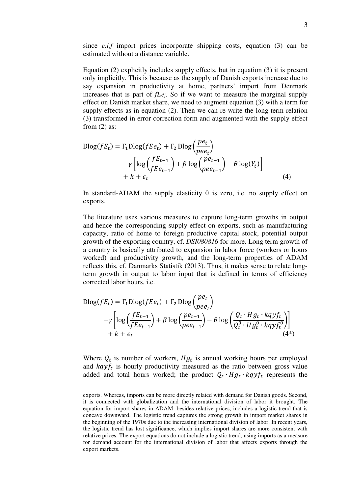since *c.i.f* import prices incorporate shipping costs, equation (3) can be estimated without a distance variable.

Equation (2) explicitly includes supply effects, but in equation (3) it is present only implicitly. This is because as the supply of Danish exports increase due to say expansion in productivity at home, partners' import from Denmark increases that is part of *fEej*. So if we want to measure the marginal supply effect on Danish market share, we need to augment equation (3) with a term for supply effects as in equation (2). Then we can re-write the long term relation (3) transformed in error correction form and augmented with the supply effect from  $(2)$  as:

$$
\begin{aligned} \text{Dlog}(fE_t) &= \Gamma_1 \text{Dlog}(fEe_t) + \Gamma_2 \text{Dlog}\left(\frac{pe_t}{pee_t}\right) \\ &- \gamma \left[ \log\left(\frac{fE_{t-1}}{fEe_{t-1}}\right) + \beta \log\left(\frac{pe_{t-1}}{pee_{t-1}}\right) - \theta \log(Y_t) \right] \\ &+ k + \epsilon_t \end{aligned} \tag{4}
$$

In standard-ADAM the supply elasticity  $\theta$  is zero, i.e. no supply effect on exports.

The literature uses various measures to capture long-term growths in output and hence the corresponding supply effect on exports, such as manufacturing capacity, ratio of home to foreign productive capital stock, potential output growth of the exporting country, cf. *DSI080816* for more. Long term growth of a country is basically attributed to expansion in labor force (workers or hours worked) and productivity growth, and the long-term properties of ADAM reflects this, cf. Danmarks Statistik (2013). Thus, it makes sense to relate longterm growth in output to labor input that is defined in terms of efficiency corrected labor hours, i.e.

$$
\begin{aligned} \text{Dlog}(fE_t) &= \Gamma_1 \text{Dlog}(fEe_t) + \Gamma_2 \text{ Dlog}\left(\frac{pe_t}{pee_t}\right) \\ &- \gamma \left[ \log\left(\frac{fE_{t-1}}{fEe_{t-1}}\right) + \beta \log\left(\frac{pe_{t-1}}{pee_{t-1}}\right) - \theta \log\left(\frac{Q_t \cdot Hg_t \cdot kqyf_t}{Q_t^0 \cdot Hg_t^0 \cdot kqyf_t^0}\right) \right] \\ &+ k + \epsilon_t \end{aligned} \tag{4*}
$$

Where  $Q_t$  is number of workers,  $Hg_t$  is annual working hours per employed and  $kq y f_t$  is hourly productivity measured as the ratio between gross value added and total hours worked; the product  $Q_t \cdot Hg_t \cdot kq y f_t$  represents the

-

exports. Whereas, imports can be more directly related with demand for Danish goods. Second, it is connected with globalization and the international division of labor it brought. The equation for import shares in ADAM, besides relative prices, includes a logistic trend that is concave downward. The logistic trend captures the strong growth in import market shares in the beginning of the 1970s due to the increasing international division of labor. In recent years, the logistic trend has lost significance, which implies import shares are more consistent with relative prices. The export equations do not include a logistic trend, using imports as a measure for demand account for the international division of labor that affects exports through the export markets.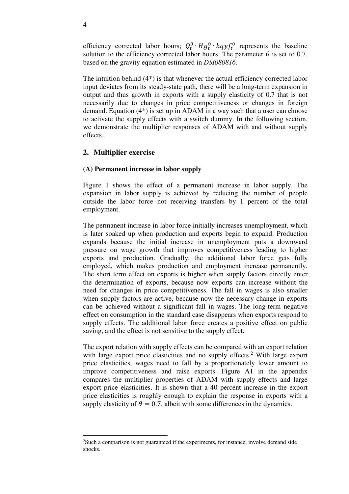efficiency corrected labor hours;  $Q_t^0 \cdot Hg_t^0 \cdot kq y f_t^0$  represents the baseline solution to the efficiency corrected labor hours. The parameter  $\theta$  is set to 0.7, based on the gravity equation estimated in *DSI080816.*

The intuition behind (4\*) is that whenever the actual efficiency corrected labor input deviates from its steady-state path, there will be a long-term expansion in output and thus growth in exports with a supply elasticity of 0.7 that is not necessarily due to changes in price competitiveness or changes in foreign demand. Equation (4\*) is set up in ADAM in a way such that a user can choose to activate the supply effects with a switch dummy. In the following section, we demonstrate the multiplier responses of ADAM with and without supply effects.

# **2. Multiplier exercise**

## **(A) Permanent increase in labor supply**

Figure 1 shows the effect of a permanent increase in labor supply. The expansion in labor supply is achieved by reducing the number of people outside the labor force not receiving transfers by 1 percent of the total employment.

The permanent increase in labor force initially increases unemployment, which is later soaked up when production and exports begin to expand. Production expands because the initial increase in unemployment puts a downward pressure on wage growth that improves competitiveness leading to higher exports and production. Gradually, the additional labor force gets fully employed, which makes production and employment increase permanently. The short term effect on exports is higher when supply factors directly enter the determination of exports, because now exports can increase without the need for changes in price competitiveness. The fall in wages is also smaller when supply factors are active, because now the necessary change in exports can be achieved without a significant fall in wages. The long-term negative effect on consumption in the standard case disappears when exports respond to supply effects. The additional labor force creates a positive effect on public saving, and the effect is not sensitive to the supply effect.

The export relation with supply effects can be compared with an export relation with large export price elasticities and no supply effects.<sup>2</sup> With large export price elasticities, wages need to fall by a proportionately lower amount to improve competitiveness and raise exports. Figure A1 in the appendix compares the multiplier properties of ADAM with supply effects and large export price elasticities. It is shown that a 40 percent increase in the export price elasticities is roughly enough to explain the response in exports with a supply elasticity of  $\theta = 0.7$ , albeit with some differences in the dynamics.

<u>.</u>

<sup>2</sup>Such a comparison is not guaranteed if the experiments, for instance, involve demand side shocks.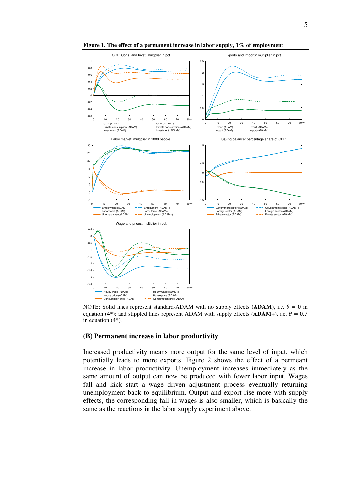



**Figure 1. The effect of a permanent increase in labor supply, 1% of employment** 

NOTE: Solid lines represent standard-ADAM with no supply effects (ADAM), i.e.  $\theta = 0$  in equation (4<sup>\*</sup>); and stippled lines represent ADAM with supply effects (**ADAM+**), i.e.  $\theta = 0.7$ in equation (4\*).

#### **(B) Permanent increase in labor productivity**

Increased productivity means more output for the same level of input, which potentially leads to more exports. Figure 2 shows the effect of a permeant increase in labor productivity. Unemployment increases immediately as the same amount of output can now be produced with fewer labor input. Wages fall and kick start a wage driven adjustment process eventually returning unemployment back to equilibrium. Output and export rise more with supply effects, the corresponding fall in wages is also smaller, which is basically the same as the reactions in the labor supply experiment above.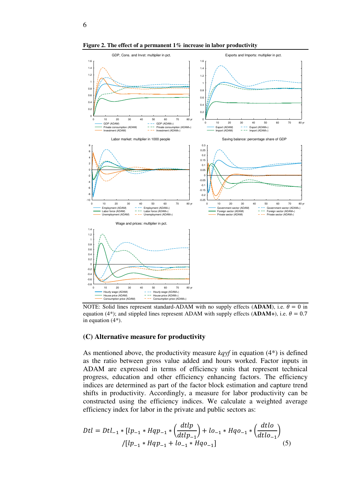

**Figure 2. The effect of a permanent 1% increase in labor productivity** 

NOTE: Solid lines represent standard-ADAM with no supply effects (ADAM), i.e.  $\theta = 0$  in equation (4<sup>\*</sup>); and stippled lines represent ADAM with supply effects (**ADAM+**), i.e.  $\theta = 0.7$ in equation (4\*).

#### **(C) Alternative measure for productivity**

As mentioned above, the productivity measure *kqyf* in equation (4\*) is defined as the ratio between gross value added and hours worked. Factor inputs in ADAM are expressed in terms of efficiency units that represent technical progress, education and other efficiency enhancing factors. The efficiency indices are determined as part of the factor block estimation and capture trend shifts in productivity. Accordingly, a measure for labor productivity can be constructed using the efficiency indices. We calculate a weighted average efficiency index for labor in the private and public sectors as:

$$
Dtl = Dtl_{-1} * [lp_{-1} * Hqp_{-1} * (\frac{dtlp}{dtlp_{-1}}) + lo_{-1} * Hqo_{-1} * (\frac{dtlo}{dtlo_{-1}})
$$
  
\n
$$
/[lp_{-1} * Hqp_{-1} + lo_{-1} * Hqo_{-1}]
$$
\n(5)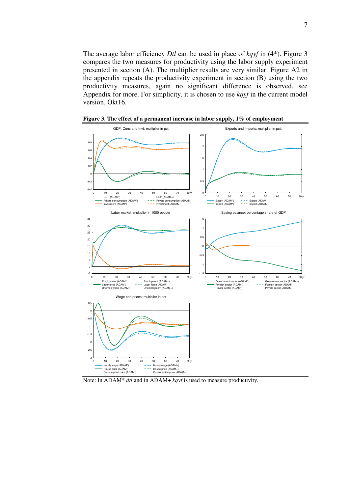The average labor efficiency *Dtl* can be used in place of *kqyf* in (4\*). Figure 3 compares the two measures for productivity using the labor supply experiment presented in section (A). The multiplier results are very similar. Figure A2 in the appendix repeats the productivity experiment in section (B) using the two productivity measures, again no significant difference is observed, see Appendix for more. For simplicity, it is chosen to use *kqyf* in the current model version, Okt16.



**Figure 3. The effect of a permanent increase in labor supply, 1% of employment** 

Note: In ADAM\* *dtl* and in ADAM+ *kqyf* is used to measure productivity.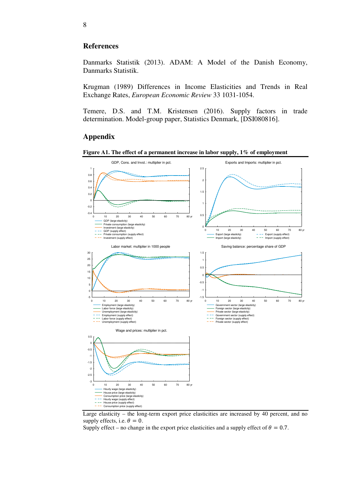# **References**

Danmarks Statistik (2013). ADAM: A Model of the Danish Economy, Danmarks Statistik.

Krugman (1989) Differences in Income Elasticities and Trends in Real Exchange Rates, *European Economic Review* 33 1031-1054.

Temere, D.S. and T.M. Kristensen (2016). Supply factors in trade determination. Model-group paper, Statistics Denmark, [DSI080816].

# **Appendix**







Supply effect – no change in the export price elasticities and a supply effect of  $\theta = 0.7$ .